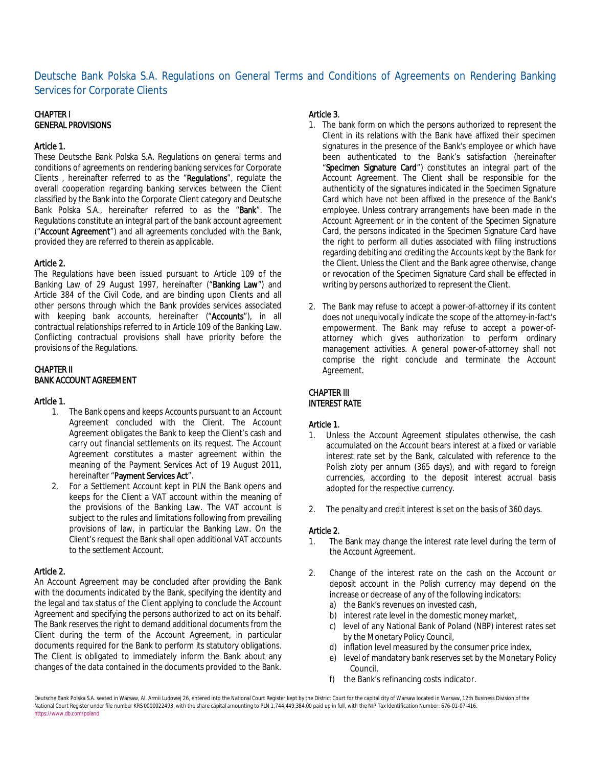# Deutsche Bank Polska S.A. Regulations on General Terms and Conditions of Agreements on Rendering Banking Services for Corporate Clients

## CHAPTER I GENERAL PROVISIONS

#### Article 1.

These Deutsche Bank Polska S.A. Regulations on general terms and conditions of agreements on rendering banking services for Corporate Clients , hereinafter referred to as the "Regulations", regulate the overall cooperation regarding banking services between the Client classified by the Bank into the Corporate Client category and Deutsche Bank Polska S.A., hereinafter referred to as the "Bank". The Regulations constitute an integral part of the bank account agreement ("Account Agreement") and all agreements concluded with the Bank, provided they are referred to therein as applicable.

### Article 2.

The Regulations have been issued pursuant to Article 109 of the Banking Law of 29 August 1997, hereinafter ("Banking Law") and Article 384 of the Civil Code, and are binding upon Clients and all other persons through which the Bank provides services associated with keeping bank accounts, hereinafter ("Accounts"), in all contractual relationships referred to in Article 109 of the Banking Law. Conflicting contractual provisions shall have priority before the provisions of the Regulations.

# CHAPTER II

## BANK ACCOUNT AGREEMENT

#### Article 1.

- 1. The Bank opens and keeps Accounts pursuant to an Account Agreement concluded with the Client. The Account Agreement obligates the Bank to keep the Client's cash and carry out financial settlements on its request. The Account Agreement constitutes a master agreement within the meaning of the Payment Services Act of 19 August 2011, hereinafter "Payment Services Act".
- 2. For a Settlement Account kept in PLN the Bank opens and keeps for the Client a VAT account within the meaning of the provisions of the Banking Law. The VAT account is subject to the rules and limitations following from prevailing provisions of law, in particular the Banking Law. On the Client's request the Bank shall open additional VAT accounts to the settlement Account.

#### Article 2.

An Account Agreement may be concluded after providing the Bank with the documents indicated by the Bank, specifying the identity and the legal and tax status of the Client applying to conclude the Account Agreement and specifying the persons authorized to act on its behalf. The Bank reserves the right to demand additional documents from the Client during the term of the Account Agreement, in particular documents required for the Bank to perform its statutory obligations. The Client is obligated to immediately inform the Bank about any changes of the data contained in the documents provided to the Bank.

## Article 3.

- 1. The bank form on which the persons authorized to represent the Client in its relations with the Bank have affixed their specimen signatures in the presence of the Bank's employee or which have been authenticated to the Bank's satisfaction (hereinafter "Specimen Signature Card") constitutes an integral part of the Account Agreement. The Client shall be responsible for the authenticity of the signatures indicated in the Specimen Signature Card which have not been affixed in the presence of the Bank's employee. Unless contrary arrangements have been made in the Account Agreement or in the content of the Specimen Signature Card, the persons indicated in the Specimen Signature Card have the right to perform all duties associated with filing instructions regarding debiting and crediting the Accounts kept by the Bank for the Client. Unless the Client and the Bank agree otherwise, change or revocation of the Specimen Signature Card shall be effected in writing by persons authorized to represent the Client.
- 2. The Bank may refuse to accept a power-of-attorney if its content does not unequivocally indicate the scope of the attorney-in-fact's empowerment. The Bank may refuse to accept a power-ofattorney which gives authorization to perform ordinary management activities. A general power-of-attorney shall not comprise the right conclude and terminate the Account Agreement.

## CHAPTER III INTEREST RATE

#### Article 1.

- 1. Unless the Account Agreement stipulates otherwise, the cash accumulated on the Account bears interest at a fixed or variable interest rate set by the Bank, calculated with reference to the Polish zloty per annum (365 days), and with regard to foreign currencies, according to the deposit interest accrual basis adopted for the respective currency.
- 2. The penalty and credit interest is set on the basis of 360 days.

#### Article 2.

- 1. The Bank may change the interest rate level during the term of the Account Agreement.
- 2. Change of the interest rate on the cash on the Account or deposit account in the Polish currency may depend on the increase or decrease of any of the following indicators:
	- a) the Bank's revenues on invested cash,
	- b) interest rate level in the domestic money market,
	- c) level of any National Bank of Poland (NBP) interest rates set by the Monetary Policy Council,
	- d) inflation level measured by the consumer price index,
	- e) level of mandatory bank reserves set by the Monetary Policy Council,
	- f) the Bank's refinancing costs indicator.

Deutsche Bank Polska S.A. seated in Warsaw, Al. Armii Ludowej 26, entered into the National Court Register kept by the District Court for the capital city of Warsaw located in Warsaw, 12th Business Division of the National Court Register under file number KRS 0000022493, with the share capital amounting to PLN 1,744,449,384.00 paid up in full, with the NIP Tax Identification Number: 676-01-07-416. https://www.db.com/poland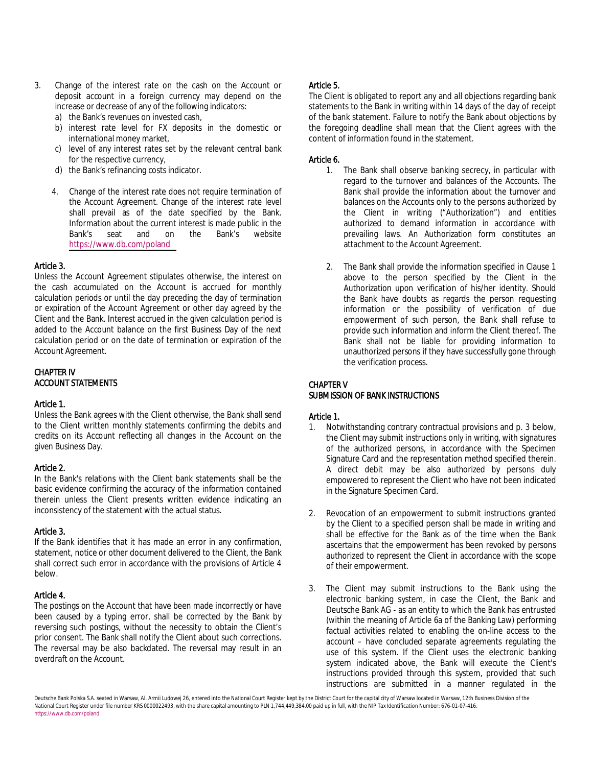- 3. Change of the interest rate on the cash on the Account or deposit account in a foreign currency may depend on the increase or decrease of any of the following indicators:
	- a) the Bank's revenues on invested cash,
	- b) interest rate level for FX deposits in the domestic or international money market,
	- c) level of any interest rates set by the relevant central bank for the respective currency,
	- d) the Bank's refinancing costs indicator.
	- 4. Change of the interest rate does not require termination of the Account Agreement. Change of the interest rate level shall prevail as of the date specified by the Bank. Information about the current interest is made public in the Bank's seat and on the Bank's website <https://www.db.com/poland>

#### Article 3.

Unless the Account Agreement stipulates otherwise, the interest on the cash accumulated on the Account is accrued for monthly calculation periods or until the day preceding the day of termination or expiration of the Account Agreement or other day agreed by the Client and the Bank. Interest accrued in the given calculation period is added to the Account balance on the first Business Day of the next calculation period or on the date of termination or expiration of the Account Agreement.

# CHAPTER IV ACCOUNT STATEMENTS

#### Article 1.

Unless the Bank agrees with the Client otherwise, the Bank shall send to the Client written monthly statements confirming the debits and credits on its Account reflecting all changes in the Account on the given Business Day.

#### Article 2.

In the Bank's relations with the Client bank statements shall be the basic evidence confirming the accuracy of the information contained therein unless the Client presents written evidence indicating an inconsistency of the statement with the actual status.

#### Article 3.

If the Bank identifies that it has made an error in any confirmation, statement, notice or other document delivered to the Client, the Bank shall correct such error in accordance with the provisions of Article 4 below.

#### Article 4.

The postings on the Account that have been made incorrectly or have been caused by a typing error, shall be corrected by the Bank by reversing such postings, without the necessity to obtain the Client's prior consent. The Bank shall notify the Client about such corrections. The reversal may be also backdated. The reversal may result in an overdraft on the Account.

### Article 5.

The Client is obligated to report any and all objections regarding bank statements to the Bank in writing within 14 days of the day of receipt of the bank statement. Failure to notify the Bank about objections by the foregoing deadline shall mean that the Client agrees with the content of information found in the statement.

## Article 6.

- 1. The Bank shall observe banking secrecy, in particular with regard to the turnover and balances of the Accounts. The Bank shall provide the information about the turnover and balances on the Accounts only to the persons authorized by the Client in writing ("Authorization") and entities authorized to demand information in accordance with prevailing laws. An Authorization form constitutes an attachment to the Account Agreement.
- 2. The Bank shall provide the information specified in Clause 1 above to the person specified by the Client in the Authorization upon verification of his/her identity. Should the Bank have doubts as regards the person requesting information or the possibility of verification of due empowerment of such person, the Bank shall refuse to provide such information and inform the Client thereof. The Bank shall not be liable for providing information to unauthorized persons if they have successfully gone through the verification process.

#### CHAPTER V SUBMISSION OF BANK INSTRUCTIONS

## Article 1.

- 1. Notwithstanding contrary contractual provisions and p. 3 below, the Client may submit instructions only in writing, with signatures of the authorized persons, in accordance with the Specimen Signature Card and the representation method specified therein. A direct debit may be also authorized by persons duly empowered to represent the Client who have not been indicated in the Signature Specimen Card.
- 2. Revocation of an empowerment to submit instructions granted by the Client to a specified person shall be made in writing and shall be effective for the Bank as of the time when the Bank ascertains that the empowerment has been revoked by persons authorized to represent the Client in accordance with the scope of their empowerment.
- 3. The Client may submit instructions to the Bank using the electronic banking system, in case the Client, the Bank and Deutsche Bank AG - as an entity to which the Bank has entrusted (within the meaning of Article 6a of the Banking Law) performing factual activities related to enabling the on-line access to the account – have concluded separate agreements regulating the use of this system. If the Client uses the electronic banking system indicated above, the Bank will execute the Client's instructions provided through this system, provided that such instructions are submitted in a manner regulated in the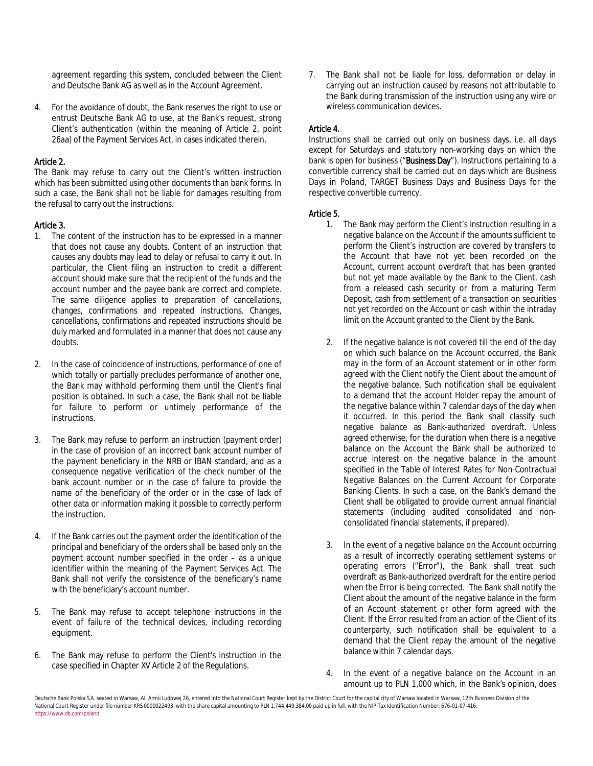agreement regarding this system, concluded between the Client and Deutsche Bank AG as well as in the Account Agreement.

4. For the avoidance of doubt, the Bank reserves the right to use or entrust Deutsche Bank AG to use, at the Bank's request, strong Client's authentication (within the meaning of Article 2, point 26aa) of the Payment Services Act, in cases indicated therein.

## Article 2.

The Bank may refuse to carry out the Client's written instruction which has been submitted using other documents than bank forms. In such a case, the Bank shall not be liable for damages resulting from the refusal to carry out the instructions.

### Article 3.

- 1. The content of the instruction has to be expressed in a manner that does not cause any doubts. Content of an instruction that causes any doubts may lead to delay or refusal to carry it out. In particular, the Client filing an instruction to credit a different account should make sure that the recipient of the funds and the account number and the payee bank are correct and complete. The same diligence applies to preparation of cancellations, changes, confirmations and repeated instructions. Changes, cancellations, confirmations and repeated instructions should be duly marked and formulated in a manner that does not cause any doubts.
- 2. In the case of coincidence of instructions, performance of one of which totally or partially precludes performance of another one, the Bank may withhold performing them until the Client's final position is obtained. In such a case, the Bank shall not be liable for failure to perform or untimely performance of the instructions.
- 3. The Bank may refuse to perform an instruction (payment order) in the case of provision of an incorrect bank account number of the payment beneficiary in the NRB or IBAN standard, and as a consequence negative verification of the check number of the bank account number or in the case of failure to provide the name of the beneficiary of the order or in the case of lack of other data or information making it possible to correctly perform the instruction.
- 4. If the Bank carries out the payment order the identification of the principal and beneficiary of the orders shall be based only on the payment account number specified in the order – as a unique identifier within the meaning of the Payment Services Act. The Bank shall not verify the consistence of the beneficiary's name with the beneficiary's account number.
- 5. The Bank may refuse to accept telephone instructions in the event of failure of the technical devices, including recording equipment.
- 6. The Bank may refuse to perform the Client's instruction in the case specified in Chapter XV Article 2 of the Regulations.

7. The Bank shall not be liable for loss, deformation or delay in carrying out an instruction caused by reasons not attributable to the Bank during transmission of the instruction using any wire or wireless communication devices.

## Article 4.

Instructions shall be carried out only on business days, i.e. all days except for Saturdays and statutory non-working days on which the bank is open for business ("Business Day"). Instructions pertaining to a convertible currency shall be carried out on days which are Business Days in Poland, TARGET Business Days and Business Days for the respective convertible currency.

### Article 5.

- 1. The Bank may perform the Client's instruction resulting in a negative balance on the Account if the amounts sufficient to perform the Client's instruction are covered by transfers to the Account that have not yet been recorded on the Account, current account overdraft that has been granted but not yet made available by the Bank to the Client, cash from a released cash security or from a maturing Term Deposit, cash from settlement of a transaction on securities not yet recorded on the Account or cash within the intraday limit on the Account granted to the Client by the Bank.
- 2. If the negative balance is not covered till the end of the day on which such balance on the Account occurred, the Bank may in the form of an Account statement or in other form agreed with the Client notify the Client about the amount of the negative balance. Such notification shall be equivalent to a demand that the account Holder repay the amount of the negative balance within 7 calendar days of the day when it occurred. In this period the Bank shall classify such negative balance as Bank-authorized overdraft. Unless agreed otherwise, for the duration when there is a negative balance on the Account the Bank shall be authorized to accrue interest on the negative balance in the amount specified in the Table of Interest Rates for Non-Contractual Negative Balances on the Current Account for Corporate Banking Clients. In such a case, on the Bank's demand the Client shall be obligated to provide current annual financial statements (including audited consolidated and nonconsolidated financial statements, if prepared).
- 3. In the event of a negative balance on the Account occurring as a result of incorrectly operating settlement systems or operating errors ("Error"), the Bank shall treat such overdraft as Bank-authorized overdraft for the entire period when the Error is being corrected. The Bank shall notify the Client about the amount of the negative balance in the form of an Account statement or other form agreed with the Client. If the Error resulted from an action of the Client of its counterparty, such notification shall be equivalent to a demand that the Client repay the amount of the negative balance within 7 calendar days.
- 4. In the event of a negative balance on the Account in an amount up to PLN 1,000 which, in the Bank's opinion, does

Deutsche Bank Polska S.A. seated in Warsaw, Al. Armii Ludowej 26, entered into the National Court Register kept by the District Court for the capital city of Warsaw located in Warsaw, 12th Business Division of the National Court Register under file number KRS 0000022493, with the share capital amounting to PLN 1,744,449,384.00 paid up in full, with the NIP Tax Identification Number: 676-01-07-416. https://www.db.com/poland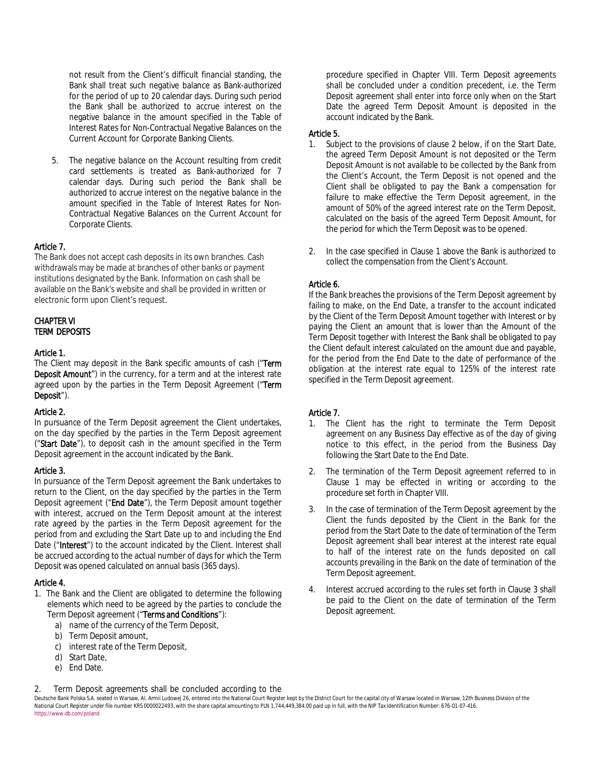not result from the Client's difficult financial standing, the Bank shall treat such negative balance as Bank-authorized for the period of up to 20 calendar days. During such period the Bank shall be authorized to accrue interest on the negative balance in the amount specified in the Table of Interest Rates for Non-Contractual Negative Balances on the Current Account for Corporate Banking Clients.

5. The negative balance on the Account resulting from credit card settlements is treated as Bank-authorized for 7 calendar days. During such period the Bank shall be authorized to accrue interest on the negative balance in the amount specified in the Table of Interest Rates for Non-Contractual Negative Balances on the Current Account for Corporate Clients.

# Article 7.

The Bank does not accept cash deposits in its own branches. Cash withdrawals may be made at branches of other banks or payment institutions designated by the Bank. Information on cash shall be available on the Bank's website and shall be provided in written or electronic form upon Client's request.

#### CHAPTER VI TERM DEPOSITS

### Article 1.

The Client may deposit in the Bank specific amounts of cash ("Term Deposit Amount") in the currency, for a term and at the interest rate agreed upon by the parties in the Term Deposit Agreement ("Term Deposit").

## Article 2.

In pursuance of the Term Deposit agreement the Client undertakes, on the day specified by the parties in the Term Deposit agreement ("Start Date"), to deposit cash in the amount specified in the Term Deposit agreement in the account indicated by the Bank.

## Article 3.

In pursuance of the Term Deposit agreement the Bank undertakes to return to the Client, on the day specified by the parties in the Term Deposit agreement ("End Date"), the Term Deposit amount together with interest, accrued on the Term Deposit amount at the interest rate agreed by the parties in the Term Deposit agreement for the period from and excluding the Start Date up to and including the End Date ("Interest") to the account indicated by the Client. Interest shall be accrued according to the actual number of days for which the Term Deposit was opened calculated on annual basis (365 days).

## Article 4.

- 1. The Bank and the Client are obligated to determine the following elements which need to be agreed by the parties to conclude the Term Deposit agreement ("Terms and Conditions"):
	- a) name of the currency of the Term Deposit,
	- b) Term Deposit amount,
	- c) interest rate of the Term Deposit,
	- d) Start Date,
	- e) End Date.

procedure specified in Chapter VIII. Term Deposit agreements shall be concluded under a condition precedent, i.e. the Term Deposit agreement shall enter into force only when on the Start Date the agreed Term Deposit Amount is deposited in the account indicated by the Bank.

# Article 5.

- 1. Subject to the provisions of clause 2 below, if on the Start Date, the agreed Term Deposit Amount is not deposited or the Term Deposit Amount is not available to be collected by the Bank from the Client's Account, the Term Deposit is not opened and the Client shall be obligated to pay the Bank a compensation for failure to make effective the Term Deposit agreement, in the amount of 50% of the agreed interest rate on the Term Deposit, calculated on the basis of the agreed Term Deposit Amount, for the period for which the Term Deposit was to be opened.
- 2. In the case specified in Clause 1 above the Bank is authorized to collect the compensation from the Client's Account.

# Article 6.

If the Bank breaches the provisions of the Term Deposit agreement by failing to make, on the End Date, a transfer to the account indicated by the Client of the Term Deposit Amount together with Interest or by paying the Client an amount that is lower than the Amount of the Term Deposit together with Interest the Bank shall be obligated to pay the Client default interest calculated on the amount due and payable, for the period from the End Date to the date of performance of the obligation at the interest rate equal to 125% of the interest rate specified in the Term Deposit agreement.

# Article 7.

- 1. The Client has the right to terminate the Term Deposit agreement on any Business Day effective as of the day of giving notice to this effect, in the period from the Business Day following the Start Date to the End Date.
- 2. The termination of the Term Deposit agreement referred to in Clause 1 may be effected in writing or according to the procedure set forth in Chapter VIII.
- 3. In the case of termination of the Term Deposit agreement by the Client the funds deposited by the Client in the Bank for the period from the Start Date to the date of termination of the Term Deposit agreement shall bear interest at the interest rate equal to half of the interest rate on the funds deposited on call accounts prevailing in the Bank on the date of termination of the Term Deposit agreement.
- 4. Interest accrued according to the rules set forth in Clause 3 shall be paid to the Client on the date of termination of the Term Deposit agreement.

Term Deposit agreements shall be concluded according to the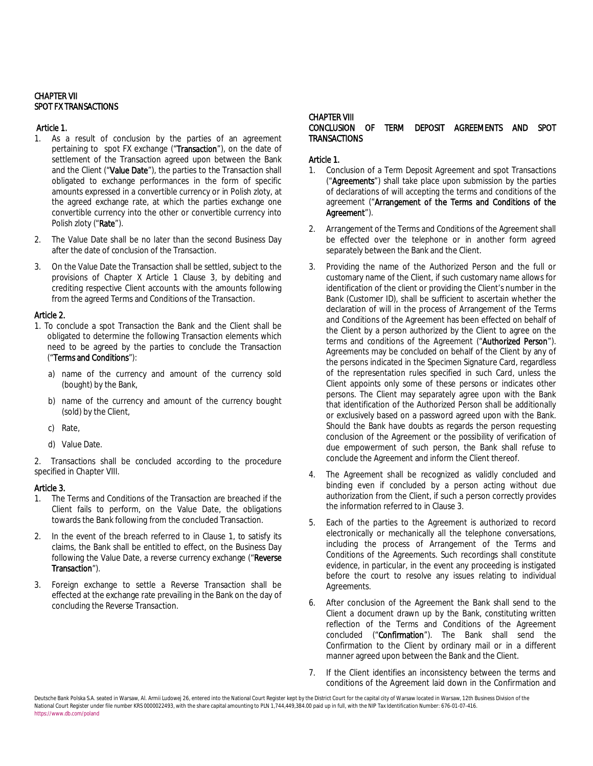### CHAPTER VII SPOT FX TRANSACTIONS

# Article 1.

- 1. As a result of conclusion by the parties of an agreement pertaining to spot FX exchange ("Transaction"), on the date of settlement of the Transaction agreed upon between the Bank and the Client ("Value Date"), the parties to the Transaction shall obligated to exchange performances in the form of specific amounts expressed in a convertible currency or in Polish zloty, at the agreed exchange rate, at which the parties exchange one convertible currency into the other or convertible currency into Polish zloty ("Rate").
- 2. The Value Date shall be no later than the second Business Day after the date of conclusion of the Transaction.
- 3. On the Value Date the Transaction shall be settled, subject to the provisions of Chapter X Article 1 Clause 3, by debiting and crediting respective Client accounts with the amounts following from the agreed Terms and Conditions of the Transaction.

## Article 2.

- 1. To conclude a spot Transaction the Bank and the Client shall be obligated to determine the following Transaction elements which need to be agreed by the parties to conclude the Transaction ("Terms and Conditions"):
	- a) name of the currency and amount of the currency sold (bought) by the Bank,
	- b) name of the currency and amount of the currency bought (sold) by the Client,
	- c) Rate,
	- d) Value Date.

2. Transactions shall be concluded according to the procedure specified in Chapter VIII.

## Article 3.

- 1. The Terms and Conditions of the Transaction are breached if the Client fails to perform, on the Value Date, the obligations towards the Bank following from the concluded Transaction.
- 2. In the event of the breach referred to in Clause 1, to satisfy its claims, the Bank shall be entitled to effect, on the Business Day following the Value Date, a reverse currency exchange ("Reverse Transaction").
- 3. Foreign exchange to settle a Reverse Transaction shall be effected at the exchange rate prevailing in the Bank on the day of concluding the Reverse Transaction.

#### CHAPTER VIII CONCLUSION OF TERM DEPOSIT AGREEMENTS AND SPOT **TRANSACTIONS**

# Article 1.

- 1. Conclusion of a Term Deposit Agreement and spot Transactions ("Agreements") shall take place upon submission by the parties of declarations of will accepting the terms and conditions of the agreement ("Arrangement of the Terms and Conditions of the Agreement").
- 2. Arrangement of the Terms and Conditions of the Agreement shall be effected over the telephone or in another form agreed separately between the Bank and the Client.
- 3. Providing the name of the Authorized Person and the full or customary name of the Client, if such customary name allows for identification of the client or providing the Client's number in the Bank (Customer ID), shall be sufficient to ascertain whether the declaration of will in the process of Arrangement of the Terms and Conditions of the Agreement has been effected on behalf of the Client by a person authorized by the Client to agree on the terms and conditions of the Agreement ("Authorized Person"). Agreements may be concluded on behalf of the Client by any of the persons indicated in the Specimen Signature Card, regardless of the representation rules specified in such Card, unless the Client appoints only some of these persons or indicates other persons. The Client may separately agree upon with the Bank that identification of the Authorized Person shall be additionally or exclusively based on a password agreed upon with the Bank. Should the Bank have doubts as regards the person requesting conclusion of the Agreement or the possibility of verification of due empowerment of such person, the Bank shall refuse to conclude the Agreement and inform the Client thereof.
- 4. The Agreement shall be recognized as validly concluded and binding even if concluded by a person acting without due authorization from the Client, if such a person correctly provides the information referred to in Clause 3.
- 5. Each of the parties to the Agreement is authorized to record electronically or mechanically all the telephone conversations, including the process of Arrangement of the Terms and Conditions of the Agreements. Such recordings shall constitute evidence, in particular, in the event any proceeding is instigated before the court to resolve any issues relating to individual Agreements.
- After conclusion of the Agreement the Bank shall send to the Client a document drawn up by the Bank, constituting written reflection of the Terms and Conditions of the Agreement concluded ("Confirmation"). The Bank shall send the Confirmation to the Client by ordinary mail or in a different manner agreed upon between the Bank and the Client.
- 7. If the Client identifies an inconsistency between the terms and conditions of the Agreement laid down in the Confirmation and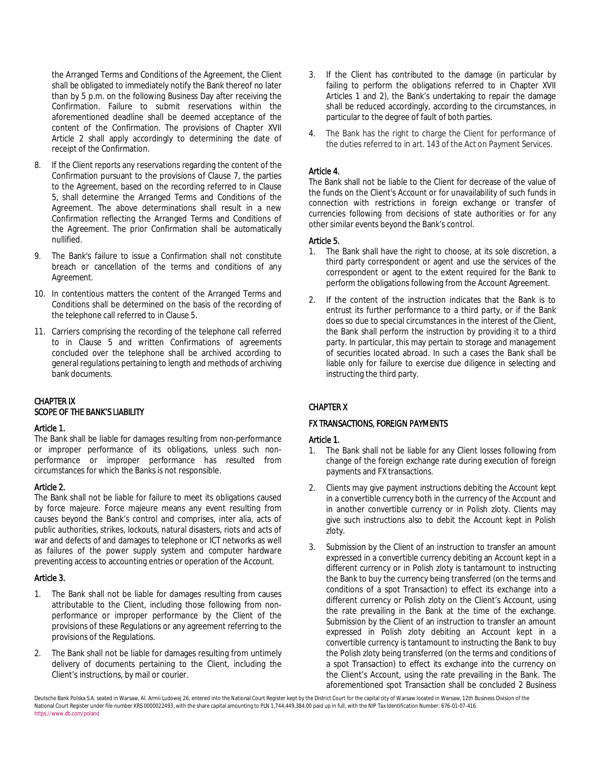the Arranged Terms and Conditions of the Agreement, the Client shall be obligated to immediately notify the Bank thereof no later than by 5 p.m. on the following Business Day after receiving the Confirmation. Failure to submit reservations within the aforementioned deadline shall be deemed acceptance of the content of the Confirmation. The provisions of Chapter XVII Article 2 shall apply accordingly to determining the date of receipt of the Confirmation.

- 8. If the Client reports any reservations regarding the content of the Confirmation pursuant to the provisions of Clause 7, the parties to the Agreement, based on the recording referred to in Clause 5, shall determine the Arranged Terms and Conditions of the Agreement. The above determinations shall result in a new Confirmation reflecting the Arranged Terms and Conditions of the Agreement. The prior Confirmation shall be automatically nullified.
- 9. The Bank's failure to issue a Confirmation shall not constitute breach or cancellation of the terms and conditions of any Agreement.
- 10. In contentious matters the content of the Arranged Terms and Conditions shall be determined on the basis of the recording of the telephone call referred to in Clause 5.
- 11. Carriers comprising the recording of the telephone call referred to in Clause 5 and written Confirmations of agreements concluded over the telephone shall be archived according to general regulations pertaining to length and methods of archiving bank documents.

# CHAPTER IX SCOPE OF THE BANK'S LIABILITY

#### Article 1.

The Bank shall be liable for damages resulting from non-performance or improper performance of its obligations, unless such nonperformance or improper performance has resulted from circumstances for which the Banks is not responsible.

#### Article 2.

The Bank shall not be liable for failure to meet its obligations caused by force majeure. Force majeure means any event resulting from causes beyond the Bank's control and comprises, inter alia, acts of public authorities, strikes, lockouts, natural disasters, riots and acts of war and defects of and damages to telephone or ICT networks as well as failures of the power supply system and computer hardware preventing access to accounting entries or operation of the Account.

#### Article 3.

- 1. The Bank shall not be liable for damages resulting from causes attributable to the Client, including those following from nonperformance or improper performance by the Client of the provisions of these Regulations or any agreement referring to the provisions of the Regulations.
- 2. The Bank shall not be liable for damages resulting from untimely delivery of documents pertaining to the Client, including the Client's instructions, by mail or courier.
- 3. If the Client has contributed to the damage (in particular by failing to perform the obligations referred to in Chapter XVII Articles 1 and 2), the Bank's undertaking to repair the damage shall be reduced accordingly, according to the circumstances, in particular to the degree of fault of both parties.
- 4. The Bank has the right to charge the Client for performance of the duties referred to in art. 143 of the Act on Payment Services.

## Article 4.

The Bank shall not be liable to the Client for decrease of the value of the funds on the Client's Account or for unavailability of such funds in connection with restrictions in foreign exchange or transfer of currencies following from decisions of state authorities or for any other similar events beyond the Bank's control.

### Article 5.

- 1. The Bank shall have the right to choose, at its sole discretion, a third party correspondent or agent and use the services of the correspondent or agent to the extent required for the Bank to perform the obligations following from the Account Agreement.
- 2. If the content of the instruction indicates that the Bank is to entrust its further performance to a third party, or if the Bank does so due to special circumstances in the interest of the Client, the Bank shall perform the instruction by providing it to a third party. In particular, this may pertain to storage and management of securities located abroad. In such a cases the Bank shall be liable only for failure to exercise due diligence in selecting and instructing the third party.

# CHAPTER X

## FX TRANSACTIONS, FOREIGN PAYMENTS

## Article 1.

- 1. The Bank shall not be liable for any Client losses following from change of the foreign exchange rate during execution of foreign payments and FX transactions.
- 2. Clients may give payment instructions debiting the Account kept in a convertible currency both in the currency of the Account and in another convertible currency or in Polish zloty. Clients may give such instructions also to debit the Account kept in Polish zloty.
- 3. Submission by the Client of an instruction to transfer an amount expressed in a convertible currency debiting an Account kept in a different currency or in Polish zloty is tantamount to instructing the Bank to buy the currency being transferred (on the terms and conditions of a spot Transaction) to effect its exchange into a different currency or Polish zloty on the Client's Account, using the rate prevailing in the Bank at the time of the exchange. Submission by the Client of an instruction to transfer an amount expressed in Polish zloty debiting an Account kept in a convertible currency is tantamount to instructing the Bank to buy the Polish zloty being transferred (on the terms and conditions of a spot Transaction) to effect its exchange into the currency on the Client's Account, using the rate prevailing in the Bank. The aforementioned spot Transaction shall be concluded 2 Business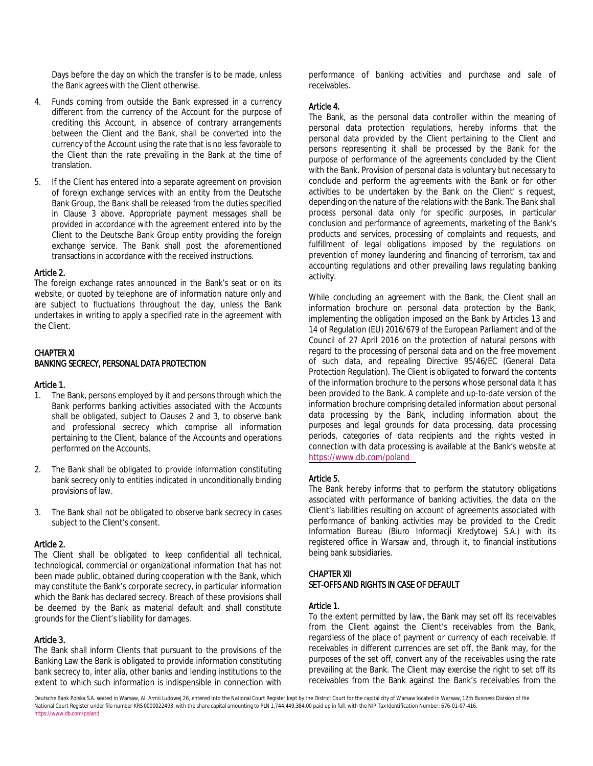Days before the day on which the transfer is to be made, unless the Bank agrees with the Client otherwise.

- 4. Funds coming from outside the Bank expressed in a currency different from the currency of the Account for the purpose of crediting this Account, in absence of contrary arrangements between the Client and the Bank, shall be converted into the currency of the Account using the rate that is no less favorable to the Client than the rate prevailing in the Bank at the time of translation.
- 5. If the Client has entered into a separate agreement on provision of foreign exchange services with an entity from the Deutsche Bank Group, the Bank shall be released from the duties specified in Clause 3 above. Appropriate payment messages shall be provided in accordance with the agreement entered into by the Client to the Deutsche Bank Group entity providing the foreign exchange service. The Bank shall post the aforementioned transactions in accordance with the received instructions.

#### Article 2.

The foreign exchange rates announced in the Bank's seat or on its website, or quoted by telephone are of information nature only and are subject to fluctuations throughout the day, unless the Bank undertakes in writing to apply a specified rate in the agreement with the Client.

#### CHAPTER XI BANKING SECRECY, PERSONAL DATA PROTECTION

#### Article 1.

- 1. The Bank, persons employed by it and persons through which the Bank performs banking activities associated with the Accounts shall be obligated, subject to Clauses 2 and 3, to observe bank and professional secrecy which comprise all information pertaining to the Client, balance of the Accounts and operations performed on the Accounts.
- 2. The Bank shall be obligated to provide information constituting bank secrecy only to entities indicated in unconditionally binding provisions of law.
- 3. The Bank shall not be obligated to observe bank secrecy in cases subject to the Client's consent.

#### Article 2.

The Client shall be obligated to keep confidential all technical, technological, commercial or organizational information that has not been made public, obtained during cooperation with the Bank, which may constitute the Bank's corporate secrecy, in particular information which the Bank has declared secrecy. Breach of these provisions shall be deemed by the Bank as material default and shall constitute grounds for the Client's liability for damages.

#### Article 3.

The Bank shall inform Clients that pursuant to the provisions of the Banking Law the Bank is obligated to provide information constituting bank secrecy to, inter alia, other banks and lending institutions to the extent to which such information is indispensible in connection with performance of banking activities and purchase and sale of receivables.

#### Article 4.

The Bank, as the personal data controller within the meaning of personal data protection regulations, hereby informs that the personal data provided by the Client pertaining to the Client and persons representing it shall be processed by the Bank for the purpose of performance of the agreements concluded by the Client with the Bank. Provision of personal data is voluntary but necessary to conclude and perform the agreements with the Bank or for other activities to be undertaken by the Bank on the Client' s request, depending on the nature of the relations with the Bank. The Bank shall process personal data only for specific purposes, in particular conclusion and performance of agreements, marketing of the Bank's products and services, processing of complaints and requests, and fulfillment of legal obligations imposed by the regulations on prevention of money laundering and financing of terrorism, tax and accounting regulations and other prevailing laws regulating banking activity.

While concluding an agreement with the Bank, the Client shall an information brochure on personal data protection by the Bank, implementing the obligation imposed on the Bank by Articles 13 and 14 of Regulation (EU) 2016/679 of the European Parliament and of the Council of 27 April 2016 on the protection of natural persons with regard to the processing of personal data and on the free movement of such data, and repealing Directive 95/46/EC (General Data Protection Regulation). The Client is obligated to forward the contents of the information brochure to the persons whose personal data it has been provided to the Bank. A complete and up-to-date version of the information brochure comprising detailed information about personal data processing by the Bank, including information about the purposes and legal grounds for data processing, data processing periods, categories of data recipients and the rights vested in connection with data processing is available at the Bank's website at <https://www.db.com/poland>

## Article 5.

The Bank hereby informs that to perform the statutory obligations associated with performance of banking activities, the data on the Client's liabilities resulting on account of agreements associated with performance of banking activities may be provided to the Credit Information Bureau (Biuro Informacji Kredytowej S.A.) with its registered office in Warsaw and, through it, to financial institutions being bank subsidiaries.

#### CHAPTER XII SET-OFFS AND RIGHTS IN CASE OF DEFAULT

#### Article 1.

To the extent permitted by law, the Bank may set off its receivables from the Client against the Client's receivables from the Bank, regardless of the place of payment or currency of each receivable. If receivables in different currencies are set off, the Bank may, for the purposes of the set off, convert any of the receivables using the rate prevailing at the Bank. The Client may exercise the right to set off its receivables from the Bank against the Bank's receivables from the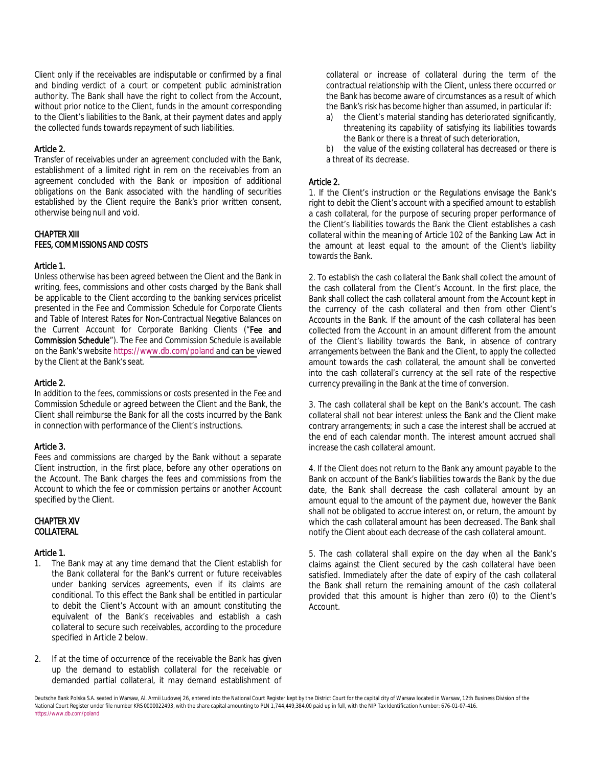Client only if the receivables are indisputable or confirmed by a final and binding verdict of a court or competent public administration authority. The Bank shall have the right to collect from the Account, without prior notice to the Client, funds in the amount corresponding to the Client's liabilities to the Bank, at their payment dates and apply the collected funds towards repayment of such liabilities.

#### Article 2.

Transfer of receivables under an agreement concluded with the Bank, establishment of a limited right *in rem* on the receivables from an agreement concluded with the Bank or imposition of additional obligations on the Bank associated with the handling of securities established by the Client require the Bank's prior written consent, otherwise being null and void.

## CHAPTER XIII FEES, COMMISSIONS AND COSTS

#### Article 1.

Unless otherwise has been agreed between the Client and the Bank in writing, fees, commissions and other costs charged by the Bank shall be applicable to the Client according to the banking services pricelist presented in the Fee and Commission Schedule for Corporate Clients and Table of Interest Rates for Non-Contractual Negative Balances on the Current Account for Corporate Banking Clients ("Fee and Commission Schedule"). The Fee and Commission Schedule is available on the Bank's website https://w[ww.db.com/poland and can be v](https://www.db.com/poland)iewed by the Client at the Bank's seat.

#### Article 2.

In addition to the fees, commissions or costs presented in the Fee and Commission Schedule or agreed between the Client and the Bank, the Client shall reimburse the Bank for all the costs incurred by the Bank in connection with performance of the Client's instructions.

#### Article 3.

Fees and commissions are charged by the Bank without a separate Client instruction, in the first place, before any other operations on the Account. The Bank charges the fees and commissions from the Account to which the fee or commission pertains or another Account specified by the Client.

#### CHAPTER XIV **COLLATERAL**

#### Article 1.

- 1. The Bank may at any time demand that the Client establish for the Bank collateral for the Bank's current or future receivables under banking services agreements, even if its claims are conditional. To this effect the Bank shall be entitled in particular to debit the Client's Account with an amount constituting the equivalent of the Bank's receivables and establish a cash collateral to secure such receivables, according to the procedure specified in Article 2 below.
- 2. If at the time of occurrence of the receivable the Bank has given up the demand to establish collateral for the receivable or demanded partial collateral, it may demand establishment of

collateral or increase of collateral during the term of the contractual relationship with the Client, unless there occurred or the Bank has become aware of circumstances as a result of which the Bank's risk has become higher than assumed, in particular if:

- a) the Client's material standing has deteriorated significantly, threatening its capability of satisfying its liabilities towards the Bank or there is a threat of such deterioration,
- b) the value of the existing collateral has decreased or there is a threat of its decrease.

#### Article 2.

1. If the Client's instruction or the Regulations envisage the Bank's right to debit the Client's account with a specified amount to establish a cash collateral, for the purpose of securing proper performance of the Client's liabilities towards the Bank the Client establishes a cash collateral within the meaning of Article 102 of the Banking Law Act in the amount at least equal to the amount of the Client's liability towards the Bank.

2. To establish the cash collateral the Bank shall collect the amount of the cash collateral from the Client's Account. In the first place, the Bank shall collect the cash collateral amount from the Account kept in the currency of the cash collateral and then from other Client's Accounts in the Bank. If the amount of the cash collateral has been collected from the Account in an amount different from the amount of the Client's liability towards the Bank, in absence of contrary arrangements between the Bank and the Client, to apply the collected amount towards the cash collateral, the amount shall be converted into the cash collateral's currency at the sell rate of the respective currency prevailing in the Bank at the time of conversion.

3. The cash collateral shall be kept on the Bank's account. The cash collateral shall not bear interest unless the Bank and the Client make contrary arrangements; in such a case the interest shall be accrued at the end of each calendar month. The interest amount accrued shall increase the cash collateral amount.

4. If the Client does not return to the Bank any amount payable to the Bank on account of the Bank's liabilities towards the Bank by the due date, the Bank shall decrease the cash collateral amount by an amount equal to the amount of the payment due, however the Bank shall not be obligated to accrue interest on, or return, the amount by which the cash collateral amount has been decreased. The Bank shall notify the Client about each decrease of the cash collateral amount.

5. The cash collateral shall expire on the day when all the Bank's claims against the Client secured by the cash collateral have been satisfied. Immediately after the date of expiry of the cash collateral the Bank shall return the remaining amount of the cash collateral provided that this amount is higher than zero (0) to the Client's Account.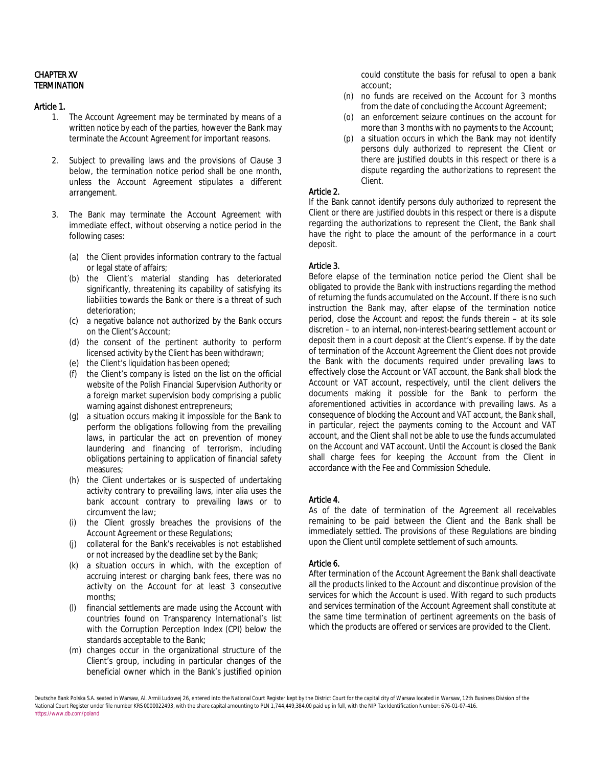#### CHAPTER XV **TERMINATION**

#### Article 1.

- 1. The Account Agreement may be terminated by means of a written notice by each of the parties, however the Bank may terminate the Account Agreement for important reasons.
- 2. Subject to prevailing laws and the provisions of Clause 3 below, the termination notice period shall be one month, unless the Account Agreement stipulates a different arrangement.
- 3. The Bank may terminate the Account Agreement with immediate effect, without observing a notice period in the following cases:
	- (a) the Client provides information contrary to the factual or legal state of affairs;
	- (b) the Client's material standing has deteriorated significantly, threatening its capability of satisfying its liabilities towards the Bank or there is a threat of such deterioration;
	- (c) a negative balance not authorized by the Bank occurs on the Client's Account;
	- (d) the consent of the pertinent authority to perform licensed activity by the Client has been withdrawn;
	- (e) the Client's liquidation has been opened;
	- (f) the Client's company is listed on the list on the official website of the Polish Financial Supervision Authority or a foreign market supervision body comprising a public warning against dishonest entrepreneurs;
	- (g) a situation occurs making it impossible for the Bank to perform the obligations following from the prevailing laws, in particular the act on prevention of money laundering and financing of terrorism, including obligations pertaining to application of financial safety measures;
	- (h) the Client undertakes or is suspected of undertaking activity contrary to prevailing laws, inter alia uses the bank account contrary to prevailing laws or to circumvent the law;
	- (i) the Client grossly breaches the provisions of the Account Agreement or these Regulations;
	- (j) collateral for the Bank's receivables is not established or not increased by the deadline set by the Bank;
	- (k) a situation occurs in which, with the exception of accruing interest or charging bank fees, there was no activity on the Account for at least 3 consecutive months;
	- financial settlements are made using the Account with countries found on Transparency International's list with the Corruption Perception Index (CPI) below the standards acceptable to the Bank;
	- (m) changes occur in the organizational structure of the Client's group, including in particular changes of the beneficial owner which in the Bank's justified opinion

could constitute the basis for refusal to open a bank account;

- (n) no funds are received on the Account for 3 months from the date of concluding the Account Agreement;
- (o) an enforcement seizure continues on the account for more than 3 months with no payments to the Account;
- (p) a situation occurs in which the Bank may not identify persons duly authorized to represent the Client or there are justified doubts in this respect or there is a dispute regarding the authorizations to represent the Client.

### Article 2.

If the Bank cannot identify persons duly authorized to represent the Client or there are justified doubts in this respect or there is a dispute regarding the authorizations to represent the Client, the Bank shall have the right to place the amount of the performance in a court deposit.

## Article 3.

Before elapse of the termination notice period the Client shall be obligated to provide the Bank with instructions regarding the method of returning the funds accumulated on the Account. If there is no such instruction the Bank may, after elapse of the termination notice period, close the Account and repost the funds therein – at its sole discretion – to an internal, non-interest-bearing settlement account or deposit them in a court deposit at the Client's expense. If by the date of termination of the Account Agreement the Client does not provide the Bank with the documents required under prevailing laws to effectively close the Account or VAT account, the Bank shall block the Account or VAT account, respectively, until the client delivers the documents making it possible for the Bank to perform the aforementioned activities in accordance with prevailing laws. As a consequence of blocking the Account and VAT account, the Bank shall, in particular, reject the payments coming to the Account and VAT account, and the Client shall not be able to use the funds accumulated on the Account and VAT account. Until the Account is closed the Bank shall charge fees for keeping the Account from the Client in accordance with the Fee and Commission Schedule.

## Article 4.

As of the date of termination of the Agreement all receivables remaining to be paid between the Client and the Bank shall be immediately settled. The provisions of these Regulations are binding upon the Client until complete settlement of such amounts.

## Article 6.

After termination of the Account Agreement the Bank shall deactivate all the products linked to the Account and discontinue provision of the services for which the Account is used. With regard to such products and services termination of the Account Agreement shall constitute at the same time termination of pertinent agreements on the basis of which the products are offered or services are provided to the Client.

Deutsche Bank Polska S.A. seated in Warsaw, Al. Armii Ludowej 26, entered into the National Court Register kept by the District Court for the capital city of Warsaw located in Warsaw, 12th Business Division of the National Court Register under file number KRS 0000022493, with the share capital amounting to PLN 1,744,449,384.00 paid up in full, with the NIP Tax Identification Number: 676-01-07-416. https://www.db.com/poland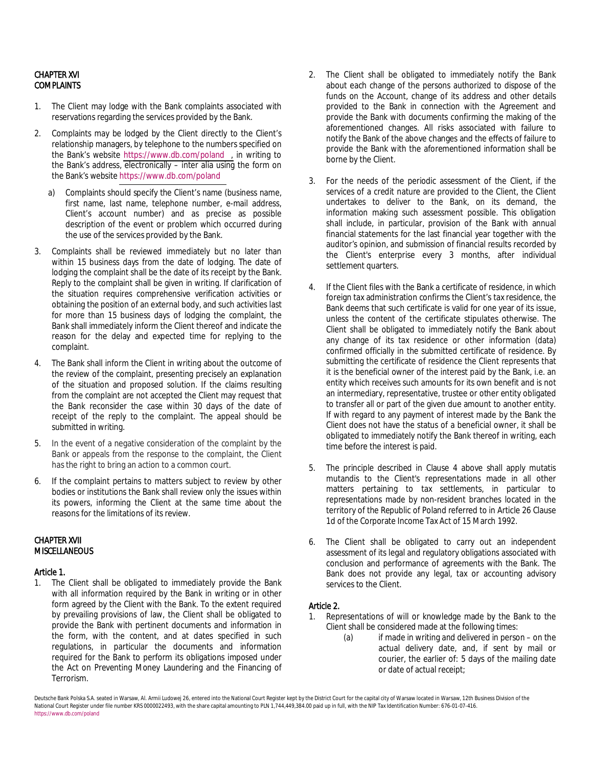## CHAPTER XVI **COMPLAINTS**

- 1. The Client may lodge with the Bank complaints associated with reservations regarding the services provided by the Bank.
- 2. Complaints may be lodged by the Client directly to the Client's relationship managers, by telephone to the numbers specified on the Bank's website [https://www.db.com/poland ,](https://www.db.com/poland) in writing to the Bank's address, electronically – inter alia using the form on the Bank's website<https://www.db.com/poland>
	- a) Complaints should specify the Client's name (business name, first name, last name, telephone number, e-mail address, Client's account number) and as precise as possible description of the event or problem which occurred during the use of the services provided by the Bank.
- 3. Complaints shall be reviewed immediately but no later than within 15 business days from the date of lodging. The date of lodging the complaint shall be the date of its receipt by the Bank. Reply to the complaint shall be given in writing. If clarification of the situation requires comprehensive verification activities or obtaining the position of an external body, and such activities last for more than 15 business days of lodging the complaint, the Bank shall immediately inform the Client thereof and indicate the reason for the delay and expected time for replying to the complaint.
- 4. The Bank shall inform the Client in writing about the outcome of the review of the complaint, presenting precisely an explanation of the situation and proposed solution. If the claims resulting from the complaint are not accepted the Client may request that the Bank reconsider the case within 30 days of the date of receipt of the reply to the complaint. The appeal should be submitted in writing.
- 5. In the event of a negative consideration of the complaint by the Bank or appeals from the response to the complaint, the Client has the right to bring an action to a common court.
- 6. If the complaint pertains to matters subject to review by other bodies or institutions the Bank shall review only the issues within its powers, informing the Client at the same time about the reasons for the limitations of its review.

### CHAPTER XVII **MISCELLANEOUS**

#### Article 1.

1. The Client shall be obligated to immediately provide the Bank with all information required by the Bank in writing or in other form agreed by the Client with the Bank. To the extent required by prevailing provisions of law, the Client shall be obligated to provide the Bank with pertinent documents and information in the form, with the content, and at dates specified in such regulations, in particular the documents and information required for the Bank to perform its obligations imposed under the Act on Preventing Money Laundering and the Financing of Terrorism.

- 2. The Client shall be obligated to immediately notify the Bank about each change of the persons authorized to dispose of the funds on the Account, change of its address and other details provided to the Bank in connection with the Agreement and provide the Bank with documents confirming the making of the aforementioned changes. All risks associated with failure to notify the Bank of the above changes and the effects of failure to provide the Bank with the aforementioned information shall be borne by the Client.
- 3. For the needs of the periodic assessment of the Client, if the services of a credit nature are provided to the Client, the Client undertakes to deliver to the Bank, on its demand, the information making such assessment possible. This obligation shall include, in particular, provision of the Bank with annual financial statements for the last financial year together with the auditor's opinion, and submission of financial results recorded by the Client's enterprise every 3 months, after individual settlement quarters.
- 4. If the Client files with the Bank a certificate of residence, in which foreign tax administration confirms the Client's tax residence, the Bank deems that such certificate is valid for one year of its issue, unless the content of the certificate stipulates otherwise. The Client shall be obligated to immediately notify the Bank about any change of its tax residence or other information (data) confirmed officially in the submitted certificate of residence. By submitting the certificate of residence the Client represents that it is the beneficial owner of the interest paid by the Bank, i.e. an entity which receives such amounts for its own benefit and is not an intermediary, representative, trustee or other entity obligated to transfer all or part of the given due amount to another entity. If with regard to any payment of interest made by the Bank the Client does not have the status of a beneficial owner, it shall be obligated to immediately notify the Bank thereof in writing, each time before the interest is paid.
- 5. The principle described in Clause 4 above shall apply mutatis mutandis to the Client's representations made in all other matters pertaining to tax settlements, in particular to representations made by non-resident branches located in the territory of the Republic of Poland referred to in Article 26 Clause 1d of the Corporate Income Tax Act of 15 March 1992.
- 6. The Client shall be obligated to carry out an independent assessment of its legal and regulatory obligations associated with conclusion and performance of agreements with the Bank. The Bank does not provide any legal, tax or accounting advisory services to the Client.

## Article 2.

- 1. Representations of will or knowledge made by the Bank to the Client shall be considered made at the following times:
	- (a) if made in writing and delivered in person on the actual delivery date, and, if sent by mail or courier, the earlier of: 5 days of the mailing date or date of actual receipt;